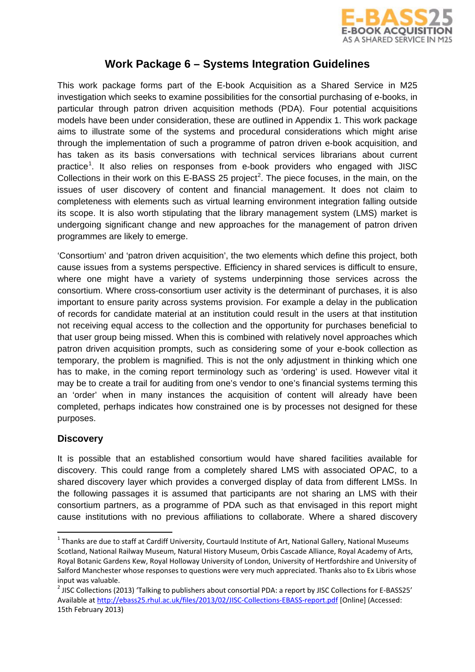

# **Work Package 6 – Systems Integration Guidelines**

This work package forms part of the E-book Acquisition as a Shared Service in M25 investigation which seeks to examine possibilities for the consortial purchasing of e-books, in particular through patron driven acquisition methods (PDA). Four potential acquisitions models have been under consideration, these are outlined in Appendix 1. This work package aims to illustrate some of the systems and procedural considerations which might arise through the implementation of such a programme of patron driven e-book acquisition, and has taken as its basis conversations with technical services librarians about current practice<sup>[1](#page-0-0)</sup>. It also relies on responses from e-book providers who engaged with JISC Collections in their work on this E-BASS [2](#page-0-1)5 project<sup>2</sup>. The piece focuses, in the main, on the issues of user discovery of content and financial management. It does not claim to completeness with elements such as virtual learning environment integration falling outside its scope. It is also worth stipulating that the library management system (LMS) market is undergoing significant change and new approaches for the management of patron driven programmes are likely to emerge.

'Consortium' and 'patron driven acquisition', the two elements which define this project, both cause issues from a systems perspective. Efficiency in shared services is difficult to ensure, where one might have a variety of systems underpinning those services across the consortium. Where cross-consortium user activity is the determinant of purchases, it is also important to ensure parity across systems provision. For example a delay in the publication of records for candidate material at an institution could result in the users at that institution not receiving equal access to the collection and the opportunity for purchases beneficial to that user group being missed. When this is combined with relatively novel approaches which patron driven acquisition prompts, such as considering some of your e-book collection as temporary, the problem is magnified. This is not the only adjustment in thinking which one has to make, in the coming report terminology such as 'ordering' is used. However vital it may be to create a trail for auditing from one's vendor to one's financial systems terming this an 'order' when in many instances the acquisition of content will already have been completed, perhaps indicates how constrained one is by processes not designed for these purposes.

## **Discovery**

.<br>-

It is possible that an established consortium would have shared facilities available for discovery. This could range from a completely shared LMS with associated OPAC, to a shared discovery layer which provides a converged display of data from different LMSs. In the following passages it is assumed that participants are not sharing an LMS with their consortium partners, as a programme of PDA such as that envisaged in this report might cause institutions with no previous affiliations to collaborate. Where a shared discovery

<span id="page-0-0"></span> $1$  Thanks are due to staff at Cardiff University, Courtauld Institute of Art, National Gallery, National Museums Scotland, National Railway Museum, Natural History Museum, Orbis Cascade Alliance, Royal Academy of Arts, Royal Botanic Gardens Kew, Royal Holloway University of London, University of Hertfordshire and University of Salford Manchester whose responses to questions were very much appreciated. Thanks also to Ex Libris whose input was valuable.<br><sup>2</sup> JISC Collections (2013) 'Talking to publishers about consortial PDA: a report by JISC Collections for E-BASS25'

<span id="page-0-1"></span>Available a[t http://ebass25.rhul.ac.uk/files/2013/02/JISC-Collections-EBASS-report.pdf](http://ebass25.rhul.ac.uk/files/2013/02/JISC-Collections-EBASS-report.pdf) [Online] (Accessed: 15th February 2013)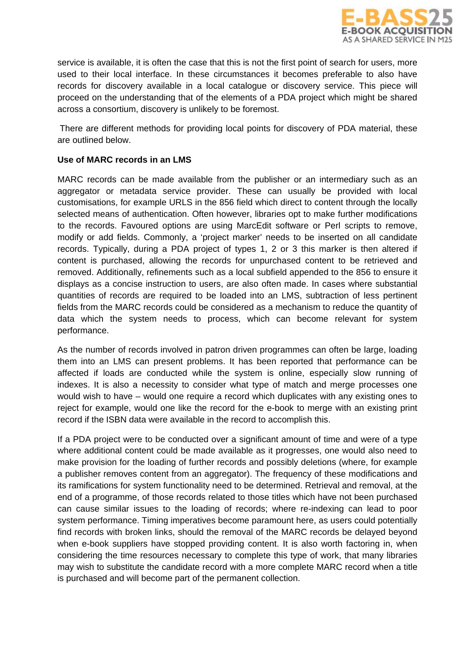

service is available, it is often the case that this is not the first point of search for users, more used to their local interface. In these circumstances it becomes preferable to also have records for discovery available in a local catalogue or discovery service. This piece will proceed on the understanding that of the elements of a PDA project which might be shared across a consortium, discovery is unlikely to be foremost.

There are different methods for providing local points for discovery of PDA material, these are outlined below.

### **Use of MARC records in an LMS**

MARC records can be made available from the publisher or an intermediary such as an aggregator or metadata service provider. These can usually be provided with local customisations, for example URLS in the 856 field which direct to content through the locally selected means of authentication. Often however, libraries opt to make further modifications to the records. Favoured options are using MarcEdit software or Perl scripts to remove, modify or add fields. Commonly, a 'project marker' needs to be inserted on all candidate records. Typically, during a PDA project of types 1, 2 or 3 this marker is then altered if content is purchased, allowing the records for unpurchased content to be retrieved and removed. Additionally, refinements such as a local subfield appended to the 856 to ensure it displays as a concise instruction to users, are also often made. In cases where substantial quantities of records are required to be loaded into an LMS, subtraction of less pertinent fields from the MARC records could be considered as a mechanism to reduce the quantity of data which the system needs to process, which can become relevant for system performance.

As the number of records involved in patron driven programmes can often be large, loading them into an LMS can present problems. It has been reported that performance can be affected if loads are conducted while the system is online, especially slow running of indexes. It is also a necessity to consider what type of match and merge processes one would wish to have – would one require a record which duplicates with any existing ones to reject for example, would one like the record for the e-book to merge with an existing print record if the ISBN data were available in the record to accomplish this.

If a PDA project were to be conducted over a significant amount of time and were of a type where additional content could be made available as it progresses, one would also need to make provision for the loading of further records and possibly deletions (where, for example a publisher removes content from an aggregator). The frequency of these modifications and its ramifications for system functionality need to be determined. Retrieval and removal, at the end of a programme, of those records related to those titles which have not been purchased can cause similar issues to the loading of records; where re-indexing can lead to poor system performance. Timing imperatives become paramount here, as users could potentially find records with broken links, should the removal of the MARC records be delayed beyond when e-book suppliers have stopped providing content. It is also worth factoring in, when considering the time resources necessary to complete this type of work, that many libraries may wish to substitute the candidate record with a more complete MARC record when a title is purchased and will become part of the permanent collection.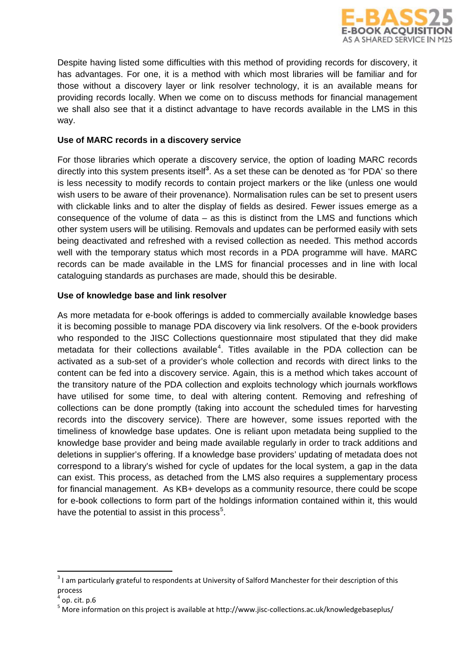

Despite having listed some difficulties with this method of providing records for discovery, it has advantages. For one, it is a method with which most libraries will be familiar and for those without a discovery layer or link resolver technology, it is an available means for providing records locally. When we come on to discuss methods for financial management we shall also see that it a distinct advantage to have records available in the LMS in this way.

### **Use of MARC records in a discovery service**

For those libraries which operate a discovery service, the option of loading MARC records directly into this system presents itself**[3](#page-2-0)** . As a set these can be denoted as 'for PDA' so there is less necessity to modify records to contain project markers or the like (unless one would wish users to be aware of their provenance). Normalisation rules can be set to present users with clickable links and to alter the display of fields as desired. Fewer issues emerge as a consequence of the volume of data – as this is distinct from the LMS and functions which other system users will be utilising. Removals and updates can be performed easily with sets being deactivated and refreshed with a revised collection as needed. This method accords well with the temporary status which most records in a PDA programme will have. MARC records can be made available in the LMS for financial processes and in line with local cataloguing standards as purchases are made, should this be desirable.

### **Use of knowledge base and link resolver**

As more metadata for e-book offerings is added to commercially available knowledge bases it is becoming possible to manage PDA discovery via link resolvers. Of the e-book providers who responded to the JISC Collections questionnaire most stipulated that they did make metadata for their collections available<sup>[4](#page-2-1)</sup>. Titles available in the PDA collection can be activated as a sub-set of a provider's whole collection and records with direct links to the content can be fed into a discovery service. Again, this is a method which takes account of the transitory nature of the PDA collection and exploits technology which journals workflows have utilised for some time, to deal with altering content. Removing and refreshing of collections can be done promptly (taking into account the scheduled times for harvesting records into the discovery service). There are however, some issues reported with the timeliness of knowledge base updates. One is reliant upon metadata being supplied to the knowledge base provider and being made available regularly in order to track additions and deletions in supplier's offering. If a knowledge base providers' updating of metadata does not correspond to a library's wished for cycle of updates for the local system, a gap in the data can exist. This process, as detached from the LMS also requires a supplementary process for financial management. As KB+ develops as a community resource, there could be scope for e-book collections to form part of the holdings information contained within it, this would have the potential to assist in this process<sup>[5](#page-2-2)</sup>.

.<br>-

<span id="page-2-0"></span><sup>&</sup>lt;sup>3</sup> I am particularly grateful to respondents at University of Salford Manchester for their description of this process

<span id="page-2-1"></span>op. cit. p.6

<span id="page-2-2"></span><sup>5</sup> More information on this project is available at http://www.jisc-collections.ac.uk/knowledgebaseplus/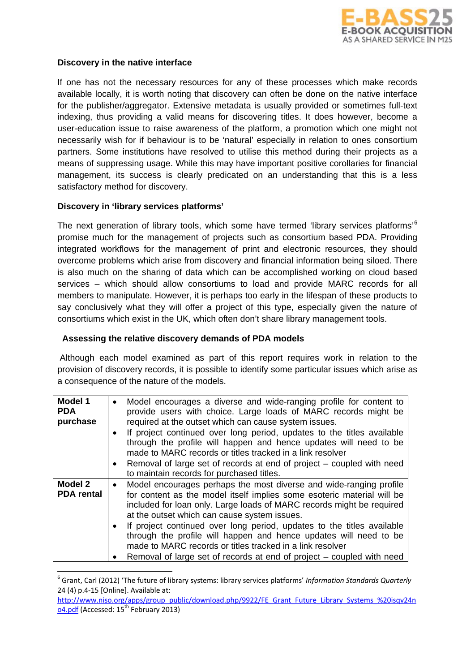

### **Discovery in the native interface**

If one has not the necessary resources for any of these processes which make records available locally, it is worth noting that discovery can often be done on the native interface for the publisher/aggregator. Extensive metadata is usually provided or sometimes full-text indexing, thus providing a valid means for discovering titles. It does however, become a user-education issue to raise awareness of the platform, a promotion which one might not necessarily wish for if behaviour is to be 'natural' especially in relation to ones consortium partners. Some institutions have resolved to utilise this method during their projects as a means of suppressing usage. While this may have important positive corollaries for financial management, its success is clearly predicated on an understanding that this is a less satisfactory method for discovery.

#### **Discovery in 'library services platforms'**

.<br>-

The next generation of library tools, which some have termed 'library services platforms'<sup>[6](#page-3-0)</sup> promise much for the management of projects such as consortium based PDA. Providing integrated workflows for the management of print and electronic resources, they should overcome problems which arise from discovery and financial information being siloed. There is also much on the sharing of data which can be accomplished working on cloud based services – which should allow consortiums to load and provide MARC records for all members to manipulate. However, it is perhaps too early in the lifespan of these products to say conclusively what they will offer a project of this type, especially given the nature of consortiums which exist in the UK, which often don't share library management tools.

### **Assessing the relative discovery demands of PDA models**

Although each model examined as part of this report requires work in relation to the provision of discovery records, it is possible to identify some particular issues which arise as a consequence of the nature of the models.

| Model 1<br><b>PDA</b><br>purchase   | Model encourages a diverse and wide-ranging profile for content to<br>provide users with choice. Large loads of MARC records might be<br>required at the outset which can cause system issues.<br>If project continued over long period, updates to the titles available<br>through the profile will happen and hence updates will need to be<br>made to MARC records or titles tracked in a link resolver<br>Removal of large set of records at end of project - coupled with need<br>to maintain records for purchased titles.                           |
|-------------------------------------|------------------------------------------------------------------------------------------------------------------------------------------------------------------------------------------------------------------------------------------------------------------------------------------------------------------------------------------------------------------------------------------------------------------------------------------------------------------------------------------------------------------------------------------------------------|
| <b>Model 2</b><br><b>PDA</b> rental | Model encourages perhaps the most diverse and wide-ranging profile<br>for content as the model itself implies some esoteric material will be<br>included for loan only. Large loads of MARC records might be required<br>at the outset which can cause system issues.<br>If project continued over long period, updates to the titles available<br>through the profile will happen and hence updates will need to be<br>made to MARC records or titles tracked in a link resolver<br>Removal of large set of records at end of project - coupled with need |

<span id="page-3-0"></span><sup>6</sup> Grant, Carl (2012) 'The future of library systems: library services platforms' *Information Standards Quarterly*  24 (4) p.4-15 [Online]. Available at:

[http://www.niso.org/apps/group\\_public/download.php/9922/FE\\_Grant\\_Future\\_Library\\_Systems\\_%20isqv24n](http://www.niso.org/apps/group_public/download.php/9922/FE_Grant_Future_Library_Systems_%20isqv24no4.pdf) [o4.pdf](http://www.niso.org/apps/group_public/download.php/9922/FE_Grant_Future_Library_Systems_%20isqv24no4.pdf) (Accessed: 15<sup>th</sup> February 2013)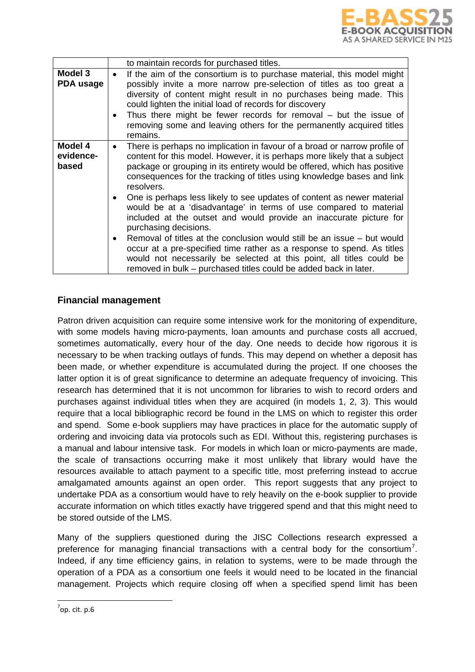

|                               | to maintain records for purchased titles.                                                                                                                                                                                                                                                                                                                                                                                                                                                                                                                                                                                                                                                                                                                                                                                                                                 |
|-------------------------------|---------------------------------------------------------------------------------------------------------------------------------------------------------------------------------------------------------------------------------------------------------------------------------------------------------------------------------------------------------------------------------------------------------------------------------------------------------------------------------------------------------------------------------------------------------------------------------------------------------------------------------------------------------------------------------------------------------------------------------------------------------------------------------------------------------------------------------------------------------------------------|
| Model 3<br>PDA usage          | If the aim of the consortium is to purchase material, this model might<br>possibly invite a more narrow pre-selection of titles as too great a<br>diversity of content might result in no purchases being made. This<br>could lighten the initial load of records for discovery<br>Thus there might be fewer records for removal $-$ but the issue of<br>removing some and leaving others for the permanently acquired titles<br>remains.                                                                                                                                                                                                                                                                                                                                                                                                                                 |
| Model 4<br>evidence-<br>based | There is perhaps no implication in favour of a broad or narrow profile of<br>content for this model. However, it is perhaps more likely that a subject<br>package or grouping in its entirety would be offered, which has positive<br>consequences for the tracking of titles using knowledge bases and link<br>resolvers.<br>One is perhaps less likely to see updates of content as newer material<br>would be at a 'disadvantage' in terms of use compared to material<br>included at the outset and would provide an inaccurate picture for<br>purchasing decisions.<br>Removal of titles at the conclusion would still be an issue – but would<br>occur at a pre-specified time rather as a response to spend. As titles<br>would not necessarily be selected at this point, all titles could be<br>removed in bulk – purchased titles could be added back in later. |

## **Financial management**

Patron driven acquisition can require some intensive work for the monitoring of expenditure, with some models having micro-payments, loan amounts and purchase costs all accrued, sometimes automatically, every hour of the day. One needs to decide how rigorous it is necessary to be when tracking outlays of funds. This may depend on whether a deposit has been made, or whether expenditure is accumulated during the project. If one chooses the latter option it is of great significance to determine an adequate frequency of invoicing. This research has determined that it is not uncommon for libraries to wish to record orders and purchases against individual titles when they are acquired (in models 1, 2, 3). This would require that a local bibliographic record be found in the LMS on which to register this order and spend. Some e-book suppliers may have practices in place for the automatic supply of ordering and invoicing data via protocols such as EDI. Without this, registering purchases is a manual and labour intensive task. For models in which loan or micro-payments are made, the scale of transactions occurring make it most unlikely that library would have the resources available to attach payment to a specific title, most preferring instead to accrue amalgamated amounts against an open order. This report suggests that any project to undertake PDA as a consortium would have to rely heavily on the e-book supplier to provide accurate information on which titles exactly have triggered spend and that this might need to be stored outside of the LMS.

Many of the suppliers questioned during the JISC Collections research expressed a preference for managing financial transactions with a central body for the consortium<sup>[7](#page-4-0)</sup>. Indeed, if any time efficiency gains, in relation to systems, were to be made through the operation of a PDA as a consortium one feels it would need to be located in the financial management. Projects which require closing off when a specified spend limit has been

<u>.</u>

<span id="page-4-0"></span> $\sigma$ <sup>7</sup>op. cit. p.6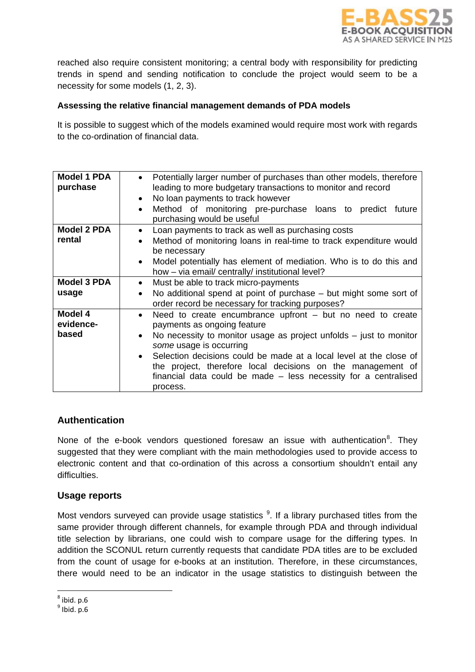

reached also require consistent monitoring; a central body with responsibility for predicting trends in spend and sending notification to conclude the project would seem to be a necessity for some models (1, 2, 3).

### **Assessing the relative financial management demands of PDA models**

It is possible to suggest which of the models examined would require most work with regards to the co-ordination of financial data.

| <b>Model 1 PDA</b><br>purchase | Potentially larger number of purchases than other models, therefore<br>$\bullet$<br>leading to more budgetary transactions to monitor and record<br>No loan payments to track however<br>$\bullet$<br>Method of monitoring pre-purchase loans to predict future<br>$\bullet$<br>purchasing would be useful                                                                                                                                   |
|--------------------------------|----------------------------------------------------------------------------------------------------------------------------------------------------------------------------------------------------------------------------------------------------------------------------------------------------------------------------------------------------------------------------------------------------------------------------------------------|
| <b>Model 2 PDA</b><br>rental   | Loan payments to track as well as purchasing costs<br>$\bullet$<br>Method of monitoring loans in real-time to track expenditure would<br>$\bullet$<br>be necessary<br>Model potentially has element of mediation. Who is to do this and<br>$\bullet$<br>how – via email/ centrally/ institutional level?                                                                                                                                     |
| <b>Model 3 PDA</b><br>usage    | Must be able to track micro-payments<br>$\bullet$<br>No additional spend at point of purchase $-$ but might some sort of<br>$\bullet$<br>order record be necessary for tracking purposes?                                                                                                                                                                                                                                                    |
| Model 4<br>evidence-<br>based  | Need to create encumbrance upfront $-$ but no need to create<br>$\bullet$<br>payments as ongoing feature<br>No necessity to monitor usage as project unfolds $-$ just to monitor<br>$\bullet$<br>some usage is occurring<br>Selection decisions could be made at a local level at the close of<br>the project, therefore local decisions on the management of<br>financial data could be made – less necessity for a centralised<br>process. |

## **Authentication**

None of the e-book vendors questioned foresaw an issue with authentication<sup>[8](#page-5-0)</sup>. They suggested that they were compliant with the main methodologies used to provide access to electronic content and that co-ordination of this across a consortium shouldn't entail any difficulties.

## **Usage reports**

Most vendors surveyed can provide usage statistics <sup>[9](#page-5-1)</sup>. If a library purchased titles from the same provider through different channels, for example through PDA and through individual title selection by librarians, one could wish to compare usage for the differing types. In addition the SCONUL return currently requests that candidate PDA titles are to be excluded from the count of usage for e-books at an institution. Therefore, in these circumstances, there would need to be an indicator in the usage statistics to distinguish between the

.<br>-

<span id="page-5-0"></span> $8$  ibid. p.6

<span id="page-5-1"></span> $<sup>9</sup>$  Ibid. p.6</sup>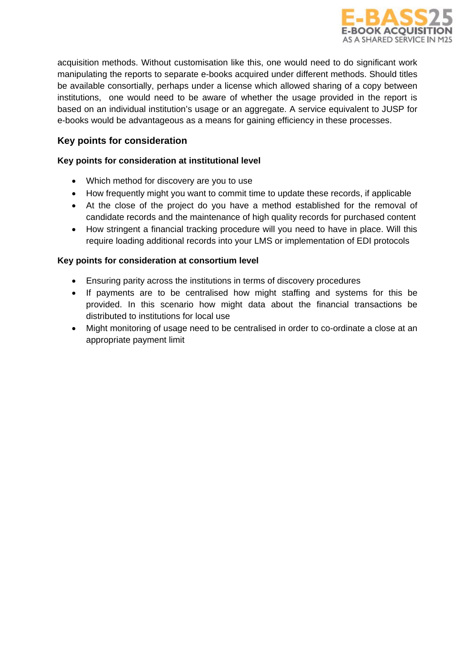

acquisition methods. Without customisation like this, one would need to do significant work manipulating the reports to separate e-books acquired under different methods. Should titles be available consortially, perhaps under a license which allowed sharing of a copy between institutions, one would need to be aware of whether the usage provided in the report is based on an individual institution's usage or an aggregate. A service equivalent to JUSP for e-books would be advantageous as a means for gaining efficiency in these processes.

## **Key points for consideration**

## **Key points for consideration at institutional level**

- Which method for discovery are you to use
- How frequently might you want to commit time to update these records, if applicable
- At the close of the project do you have a method established for the removal of candidate records and the maintenance of high quality records for purchased content
- How stringent a financial tracking procedure will you need to have in place. Will this require loading additional records into your LMS or implementation of EDI protocols

### **Key points for consideration at consortium level**

- Ensuring parity across the institutions in terms of discovery procedures
- If payments are to be centralised how might staffing and systems for this be provided. In this scenario how might data about the financial transactions be distributed to institutions for local use
- Might monitoring of usage need to be centralised in order to co-ordinate a close at an appropriate payment limit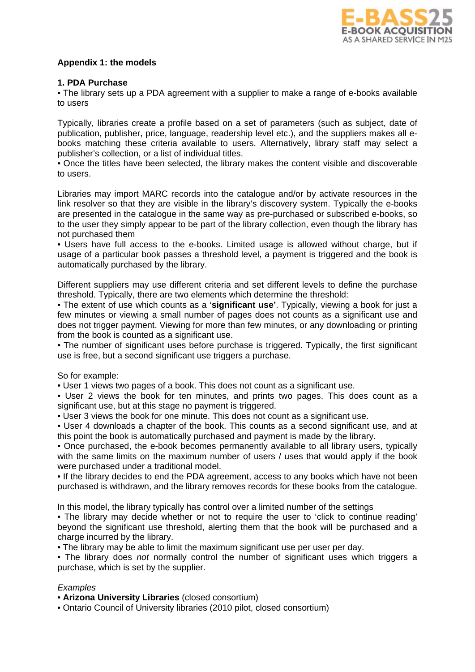

### **Appendix 1: the models**

#### **1. PDA Purchase**

• The library sets up a PDA agreement with a supplier to make a range of e-books available to users

Typically, libraries create a profile based on a set of parameters (such as subject, date of publication, publisher, price, language, readership level etc.), and the suppliers makes all ebooks matching these criteria available to users. Alternatively, library staff may select a publisher's collection, or a list of individual titles.

• Once the titles have been selected, the library makes the content visible and discoverable to users.

Libraries may import MARC records into the catalogue and/or by activate resources in the link resolver so that they are visible in the library's discovery system. Typically the e-books are presented in the catalogue in the same way as pre-purchased or subscribed e-books, so to the user they simply appear to be part of the library collection, even though the library has not purchased them

• Users have full access to the e-books. Limited usage is allowed without charge, but if usage of a particular book passes a threshold level, a payment is triggered and the book is automatically purchased by the library.

Different suppliers may use different criteria and set different levels to define the purchase threshold. Typically, there are two elements which determine the threshold:

• The extent of use which counts as a '**significant use'**. Typically, viewing a book for just a few minutes or viewing a small number of pages does not counts as a significant use and does not trigger payment. Viewing for more than few minutes, or any downloading or printing from the book is counted as a significant use.

• The number of significant uses before purchase is triggered. Typically, the first significant use is free, but a second significant use triggers a purchase.

#### So for example:

• User 1 views two pages of a book. This does not count as a significant use.

• User 2 views the book for ten minutes, and prints two pages. This does count as a significant use, but at this stage no payment is triggered.

• User 3 views the book for one minute. This does not count as a significant use.

• User 4 downloads a chapter of the book. This counts as a second significant use, and at this point the book is automatically purchased and payment is made by the library.

• Once purchased, the e-book becomes permanently available to all library users, typically with the same limits on the maximum number of users / uses that would apply if the book were purchased under a traditional model.

• If the library decides to end the PDA agreement, access to any books which have not been purchased is withdrawn, and the library removes records for these books from the catalogue.

In this model, the library typically has control over a limited number of the settings

• The library may decide whether or not to require the user to 'click to continue reading' beyond the significant use threshold, alerting them that the book will be purchased and a charge incurred by the library.

• The library may be able to limit the maximum significant use per user per day.

• The library does *not* normally control the number of significant uses which triggers a purchase, which is set by the supplier.

### *Examples*

• **Arizona University Libraries** (closed consortium)

• Ontario Council of University libraries (2010 pilot, closed consortium)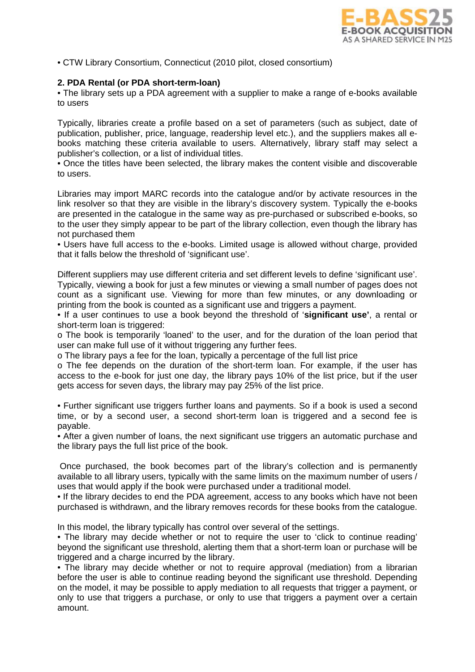

• CTW Library Consortium, Connecticut (2010 pilot, closed consortium)

#### **2. PDA Rental (or PDA short-term-loan)**

• The library sets up a PDA agreement with a supplier to make a range of e-books available to users

Typically, libraries create a profile based on a set of parameters (such as subject, date of publication, publisher, price, language, readership level etc.), and the suppliers makes all ebooks matching these criteria available to users. Alternatively, library staff may select a publisher's collection, or a list of individual titles.

• Once the titles have been selected, the library makes the content visible and discoverable to users.

Libraries may import MARC records into the catalogue and/or by activate resources in the link resolver so that they are visible in the library's discovery system. Typically the e-books are presented in the catalogue in the same way as pre-purchased or subscribed e-books, so to the user they simply appear to be part of the library collection, even though the library has not purchased them

• Users have full access to the e-books. Limited usage is allowed without charge, provided that it falls below the threshold of 'significant use'.

Different suppliers may use different criteria and set different levels to define 'significant use'. Typically, viewing a book for just a few minutes or viewing a small number of pages does not count as a significant use. Viewing for more than few minutes, or any downloading or printing from the book is counted as a significant use and triggers a payment.

• If a user continues to use a book beyond the threshold of '**significant use'**, a rental or short-term loan is triggered:

o The book is temporarily 'loaned' to the user, and for the duration of the loan period that user can make full use of it without triggering any further fees.

o The library pays a fee for the loan, typically a percentage of the full list price

o The fee depends on the duration of the short-term loan. For example, if the user has access to the e-book for just one day, the library pays 10% of the list price, but if the user gets access for seven days, the library may pay 25% of the list price.

• Further significant use triggers further loans and payments. So if a book is used a second time, or by a second user, a second short-term loan is triggered and a second fee is payable.

• After a given number of loans, the next significant use triggers an automatic purchase and the library pays the full list price of the book.

Once purchased, the book becomes part of the library's collection and is permanently available to all library users, typically with the same limits on the maximum number of users / uses that would apply if the book were purchased under a traditional model.

• If the library decides to end the PDA agreement, access to any books which have not been purchased is withdrawn, and the library removes records for these books from the catalogue.

In this model, the library typically has control over several of the settings.

• The library may decide whether or not to require the user to 'click to continue reading' beyond the significant use threshold, alerting them that a short-term loan or purchase will be triggered and a charge incurred by the library.

• The library may decide whether or not to require approval (mediation) from a librarian before the user is able to continue reading beyond the significant use threshold. Depending on the model, it may be possible to apply mediation to all requests that trigger a payment, or only to use that triggers a purchase, or only to use that triggers a payment over a certain amount.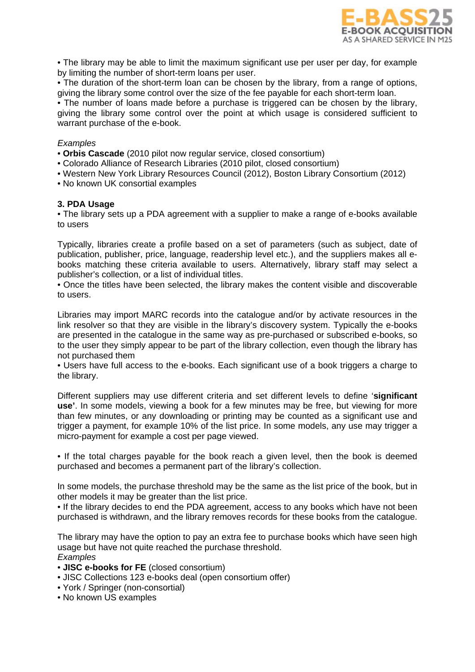

• The library may be able to limit the maximum significant use per user per day, for example by limiting the number of short-term loans per user.

• The duration of the short-term loan can be chosen by the library, from a range of options, giving the library some control over the size of the fee payable for each short-term loan.

• The number of loans made before a purchase is triggered can be chosen by the library, giving the library some control over the point at which usage is considered sufficient to warrant purchase of the e-book.

#### *Examples*

- **Orbis Cascade** (2010 pilot now regular service, closed consortium)
- Colorado Alliance of Research Libraries (2010 pilot, closed consortium)
- Western New York Library Resources Council (2012), Boston Library Consortium (2012)
- No known UK consortial examples

#### **3. PDA Usage**

• The library sets up a PDA agreement with a supplier to make a range of e-books available to users

Typically, libraries create a profile based on a set of parameters (such as subject, date of publication, publisher, price, language, readership level etc.), and the suppliers makes all ebooks matching these criteria available to users. Alternatively, library staff may select a publisher's collection, or a list of individual titles.

• Once the titles have been selected, the library makes the content visible and discoverable to users.

Libraries may import MARC records into the catalogue and/or by activate resources in the link resolver so that they are visible in the library's discovery system. Typically the e-books are presented in the catalogue in the same way as pre-purchased or subscribed e-books, so to the user they simply appear to be part of the library collection, even though the library has not purchased them

• Users have full access to the e-books. Each significant use of a book triggers a charge to the library.

Different suppliers may use different criteria and set different levels to define '**significant use'**. In some models, viewing a book for a few minutes may be free, but viewing for more than few minutes, or any downloading or printing may be counted as a significant use and trigger a payment, for example 10% of the list price. In some models, any use may trigger a micro-payment for example a cost per page viewed.

• If the total charges payable for the book reach a given level, then the book is deemed purchased and becomes a permanent part of the library's collection.

In some models, the purchase threshold may be the same as the list price of the book, but in other models it may be greater than the list price.

• If the library decides to end the PDA agreement, access to any books which have not been purchased is withdrawn, and the library removes records for these books from the catalogue.

The library may have the option to pay an extra fee to purchase books which have seen high usage but have not quite reached the purchase threshold. *Examples* 

- **JISC e-books for FE** (closed consortium)
- JISC Collections 123 e-books deal (open consortium offer)
- York / Springer (non-consortial)
- No known US examples